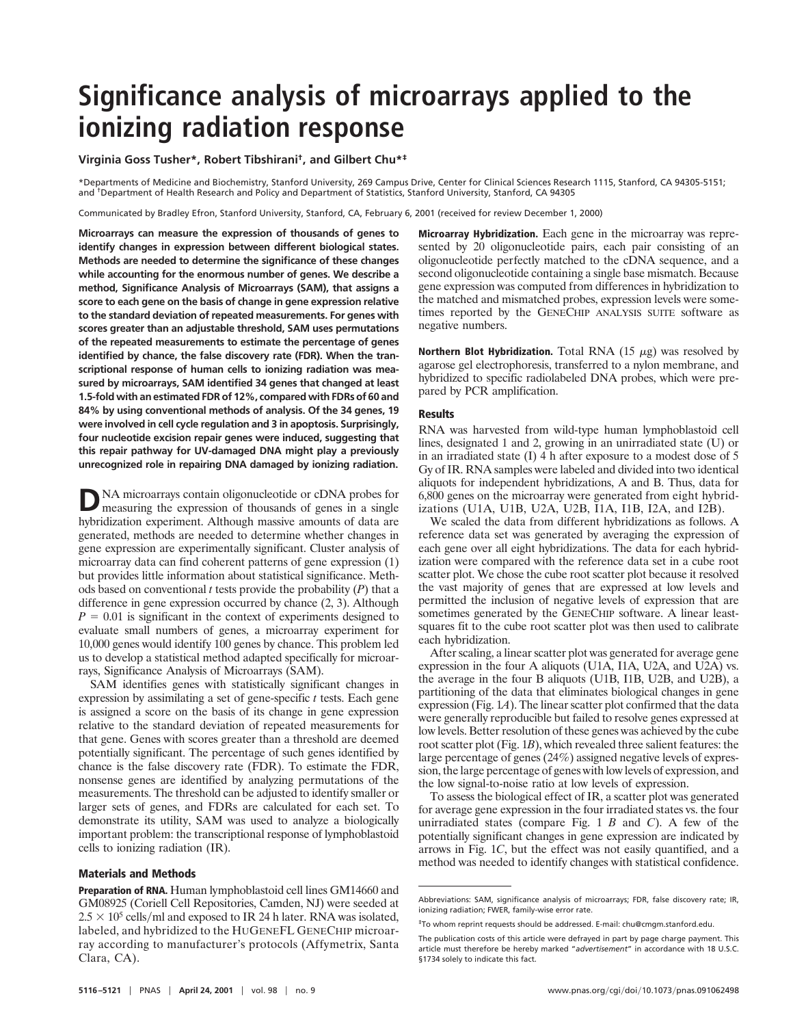# **Significance analysis of microarrays applied to the ionizing radiation response**

## **Virginia Goss Tusher\*, Robert Tibshirani†, and Gilbert Chu\*‡**

\*Departments of Medicine and Biochemistry, Stanford University, 269 Campus Drive, Center for Clinical Sciences Research 1115, Stanford, CA 94305-5151; and †Department of Health Research and Policy and Department of Statistics, Stanford University, Stanford, CA 94305

Communicated by Bradley Efron, Stanford University, Stanford, CA, February 6, 2001 (received for review December 1, 2000)

**Microarrays can measure the expression of thousands of genes to identify changes in expression between different biological states. Methods are needed to determine the significance of these changes while accounting for the enormous number of genes.We describe a method, Significance Analysis of Microarrays (SAM), that assigns a score to each gene on the basis of change in gene expression relative to the standard deviation of repeated measurements.For genes with scores greater than an adjustable threshold, SAM uses permutations of the repeated measurements to estimate the percentage of genes** identified by chance, the false discovery rate (FDR). When the tran**scriptional response of human cells to ionizing radiation was measured by microarrays, SAM identified 34 genes that changed at least 1.5-fold with an estimated FDR of 12%, compared with FDRs of 60 and 84% by using conventional methods of analysis.Of the 34 genes, 19 were involved in cell cycle regulation and 3 in apoptosis.Surprisingly, four nucleotide excision repair genes were induced, suggesting that this repair pathway for UV-damaged DNA might play a previously unrecognized role in repairing DNA damaged by ionizing radiation.**

DNA microarrays contain oligonucleotide or cDNA probes for measuring the expression of thousands of genes in a single hybridization experiment. Although massive amounts of data are generated, methods are needed to determine whether changes in gene expression are experimentally significant. Cluster analysis of microarray data can find coherent patterns of gene expression (1) but provides little information about statistical significance. Methods based on conventional  $t$  tests provide the probability  $(P)$  that a difference in gene expression occurred by chance (2, 3). Although  $P = 0.01$  is significant in the context of experiments designed to evaluate small numbers of genes, a microarray experiment for 10,000 genes would identify 100 genes by chance. This problem led us to develop a statistical method adapted specifically for microarrays, Significance Analysis of Microarrays (SAM).

SAM identifies genes with statistically significant changes in expression by assimilating a set of gene-specific *t* tests. Each gene is assigned a score on the basis of its change in gene expression relative to the standard deviation of repeated measurements for that gene. Genes with scores greater than a threshold are deemed potentially significant. The percentage of such genes identified by chance is the false discovery rate (FDR). To estimate the FDR, nonsense genes are identified by analyzing permutations of the measurements. The threshold can be adjusted to identify smaller or larger sets of genes, and FDRs are calculated for each set. To demonstrate its utility, SAM was used to analyze a biologically important problem: the transcriptional response of lymphoblastoid cells to ionizing radiation (IR).

### **Materials and Methods**

**Microarray Hybridization.** Each gene in the microarray was represented by 20 oligonucleotide pairs, each pair consisting of an oligonucleotide perfectly matched to the cDNA sequence, and a second oligonucleotide containing a single base mismatch. Because gene expression was computed from differences in hybridization to the matched and mismatched probes, expression levels were sometimes reported by the GENECHIP ANALYSIS SUITE software as negative numbers.

**Northern Blot Hybridization.** Total RNA  $(15 \mu g)$  was resolved by agarose gel electrophoresis, transferred to a nylon membrane, and hybridized to specific radiolabeled DNA probes, which were prepared by PCR amplification.

#### **Results**

RNA was harvested from wild-type human lymphoblastoid cell lines, designated 1 and 2, growing in an unirradiated state  $(U)$  or in an irradiated state  $(I)$  4 h after exposure to a modest dose of 5 Gy of IR. RNA samples were labeled and divided into two identical aliquots for independent hybridizations, A and B. Thus, data for 6,800 genes on the microarray were generated from eight hybridizations (U1A, U1B, U2A, U2B, I1A, I1B, I2A, and I2B).

We scaled the data from different hybridizations as follows. A reference data set was generated by averaging the expression of each gene over all eight hybridizations. The data for each hybridization were compared with the reference data set in a cube root scatter plot. We chose the cube root scatter plot because it resolved the vast majority of genes that are expressed at low levels and permitted the inclusion of negative levels of expression that are sometimes generated by the GENECHIP software. A linear leastsquares fit to the cube root scatter plot was then used to calibrate each hybridization.

After scaling, a linear scatter plot was generated for average gene expression in the four A aliquots (U1A, I1A, U2A, and U2A) vs. the average in the four B aliquots (U1B, I1B, U2B, and U2B), a partitioning of the data that eliminates biological changes in gene expression (Fig. 1*A*). The linear scatter plot confirmed that the data were generally reproducible but failed to resolve genes expressed at low levels. Better resolution of these genes was achieved by the cube root scatter plot (Fig. 1*B*), which revealed three salient features: the large percentage of genes  $(24%)$  assigned negative levels of expression, the large percentage of genes with low levels of expression, and the low signal-to-noise ratio at low levels of expression.

To assess the biological effect of IR, a scatter plot was generated for average gene expression in the four irradiated states vs. the four unirradiated states (compare Fig. 1 *B* and *C*). A few of the potentially significant changes in gene expression are indicated by arrows in Fig. 1*C*, but the effect was not easily quantified, and a method was needed to identify changes with statistical confidence.

**Preparation of RNA.** Human lymphoblastoid cell lines GM14660 and GM08925 (Coriell Cell Repositories, Camden, NJ) were seeded at  $2.5 \times 10^5$  cells/ml and exposed to IR 24 h later. RNA was isolated, labeled, and hybridized to the HUGENEFL GENECHIP microarray according to manufacturer's protocols (Affymetrix, Santa Clara, CA).

Abbreviations: SAM, significance analysis of microarrays; FDR, false discovery rate; IR, ionizing radiation; FWER, family-wise error rate.

<sup>‡</sup>To whom reprint requests should be addressed. E-mail: chu@cmgm.stanford.edu.

The publication costs of this article were defrayed in part by page charge payment. This article must therefore be hereby marked "*advertisement*" in accordance with 18 U.S.C. §1734 solely to indicate this fact.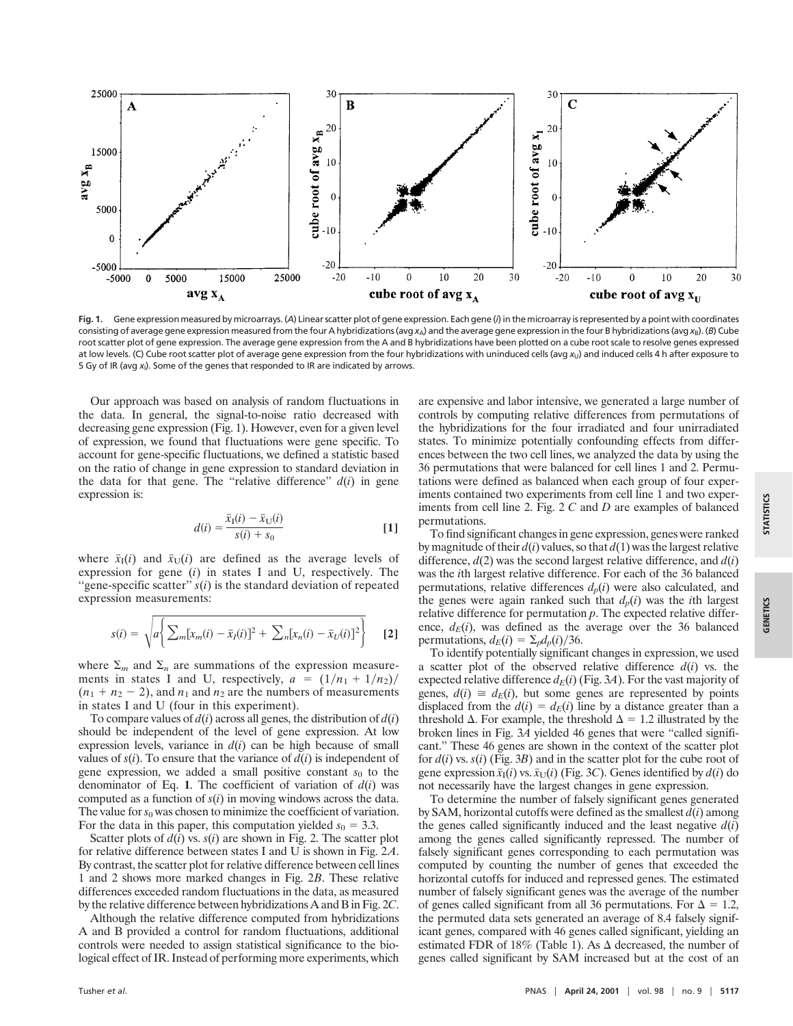

**Fig.1.** Gene expression measured by microarrays. (*A*) Linear scatter plot of gene expression. Each gene (*i*) in the microarray is represented by a point with coordinates consisting of average gene expression measured from the four A hybridizations (avg x<sub>A</sub>) and the average gene expression in the four B hybridizations (avg x<sub>B</sub>). (*B*) Cube root scatter plot of gene expression. The average gene expression from the A and B hybridizations have been plotted on a cube root scale to resolve genes expressed at low levels. (C) Cube root scatter plot of average gene expression from the four hybridizations with uninduced cells (avg x<sub>U</sub>) and induced cells 4 h after exposure to 5Gy of IR (avg *x*I). Some of the genes that responded to IR are indicated by arrows.

Our approach was based on analysis of random fluctuations in the data. In general, the signal-to-noise ratio decreased with decreasing gene expression (Fig. 1). However, even for a given level of expression, we found that fluctuations were gene specific. To account for gene-specific fluctuations, we defined a statistic based on the ratio of change in gene expression to standard deviation in the data for that gene. The "relative difference"  $d(i)$  in gene expression is:

$$
d(i) = \frac{\bar{x}_I(i) - \bar{x}_U(i)}{s(i) + s_0}
$$
 [1]

where  $\bar{x}_I(i)$  and  $\bar{x}_U(i)$  are defined as the average levels of expression for gene  $(i)$  in states I and U, respectively. The "gene-specific scatter"  $s(i)$  is the standard deviation of repeated expression measurements:

$$
s(i) = \sqrt{a \left\{ \sum_{m} [x_m(i) - \bar{x}_I(i)]^2 + \sum_{n} [x_n(i) - \bar{x}_U(i)]^2 \right\}}
$$
 [2]

where  $\Sigma_m$  and  $\Sigma_n$  are summations of the expression measurements in states I and U, respectively,  $a = (1/n_1 + 1/n_2)/$  $(n_1 + n_2 - 2)$ , and  $n_1$  and  $n_2$  are the numbers of measurements in states I and U (four in this experiment).

To compare values of  $d(i)$  across all genes, the distribution of  $d(i)$ should be independent of the level of gene expression. At low expression levels, variance in  $d(i)$  can be high because of small values of  $s(i)$ . To ensure that the variance of  $d(i)$  is independent of gene expression, we added a small positive constant  $s_0$  to the denominator of Eq. 1. The coefficient of variation of  $d(i)$  was computed as a function of  $s(i)$  in moving windows across the data. The value for  $s_0$  was chosen to minimize the coefficient of variation. For the data in this paper, this computation yielded  $s_0 = 3.3$ .

Scatter plots of  $d(i)$  vs.  $s(i)$  are shown in Fig. 2. The scatter plot for relative difference between states I and U is shown in Fig. 2*A*. By contrast, the scatter plot for relative difference between cell lines 1 and 2 shows more marked changes in Fig. 2*B*. These relative differences exceeded random fluctuations in the data, as measured by the relative difference between hybridizations A and B in Fig. 2*C*.

Although the relative difference computed from hybridizations A and B provided a control for random fluctuations, additional controls were needed to assign statistical significance to the biological effect of IR. Instead of performing more experiments, which

are expensive and labor intensive, we generated a large number of controls by computing relative differences from permutations of the hybridizations for the four irradiated and four unirradiated states. To minimize potentially confounding effects from differences between the two cell lines, we analyzed the data by using the 36 permutations that were balanced for cell lines 1 and 2. Permutations were defined as balanced when each group of four experiments contained two experiments from cell line 1 and two experiments from cell line 2. Fig. 2 *C* and *D* are examples of balanced permutations.

To find significant changes in gene expression, genes were ranked by magnitude of their  $d(i)$  values, so that  $d(1)$  was the largest relative difference,  $d(2)$  was the second largest relative difference, and  $d(i)$ was the *i*th largest relative difference. For each of the 36 balanced permutations, relative differences  $d_p(i)$  were also calculated, and the genes were again ranked such that  $d_p(i)$  was the *i*th largest relative difference for permutation *p*. The expected relative difference,  $d_E(i)$ , was defined as the average over the 36 balanced permutations,  $d_E(i) = \sum_p d_p(i)/36$ .

To identify potentially significant changes in expression, we used a scatter plot of the observed relative difference  $d(i)$  vs. the expected relative difference  $d_E(i)$  (Fig. 3A). For the vast majority of genes,  $d(i) \cong d_E(i)$ , but some genes are represented by points displaced from the  $d(i) = d_E(i)$  line by a distance greater than a threshold  $\Delta$ . For example, the threshold  $\Delta = 1.2$  illustrated by the broken lines in Fig. 3*A* yielded 46 genes that were ''called significant.'' These 46 genes are shown in the context of the scatter plot for  $d(i)$  vs.  $s(i)$  (Fig. 3*B*) and in the scatter plot for the cube root of gene expression  $\bar{x}_I(i)$  vs.  $\bar{x}_U(i)$  (Fig. 3*C*). Genes identified by  $d(i)$  do not necessarily have the largest changes in gene expression.

To determine the number of falsely significant genes generated by SAM, horizontal cutoffs were defined as the smallest  $d(i)$  among the genes called significantly induced and the least negative  $d(i)$ among the genes called significantly repressed. The number of falsely significant genes corresponding to each permutation was computed by counting the number of genes that exceeded the horizontal cutoffs for induced and repressed genes. The estimated number of falsely significant genes was the average of the number of genes called significant from all 36 permutations. For  $\Delta = 1.2$ , the permuted data sets generated an average of 8.4 falsely significant genes, compared with 46 genes called significant, yielding an estimated FDR of 18% (Table 1). As  $\Delta$  decreased, the number of genes called significant by SAM increased but at the cost of an **GENETICS**

**GENETICS**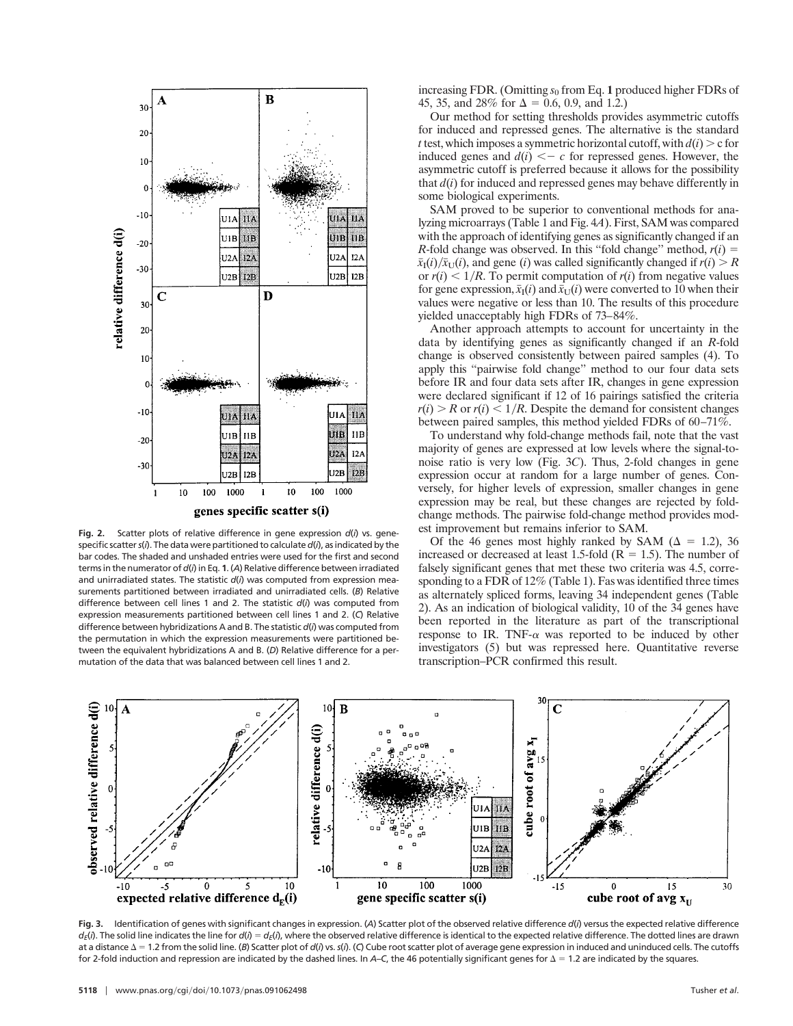

**Fig.2.** Scatter plots of relative difference in gene expression *d*(*i*) vs. genespecific scatter*s*(*i*). The data were partitioned to calculate *d*(*i*), as indicated by the bar codes. The shaded and unshaded entries were used for the first and second terms in the numerator of *d*(*i*) in Eq. **1**. (*A*) Relative difference between irradiated and unirradiated states. The statistic *d*(*i*) was computed from expression measurements partitioned between irradiated and unirradiated cells. (*B*) Relative difference between cell lines 1 and 2. The statistic *d*(*i*) was computed from expression measurements partitioned between cell lines 1 and 2. (*C*) Relative difference between hybridizations A and B. The statistic *d*(*i*) was computed from the permutation in which the expression measurements were partitioned between the equivalent hybridizations A and B. (*D*) Relative difference for a permutation of the data that was balanced between cell lines 1 and 2.

increasing FDR. (Omitting  $s_0$  from Eq. 1 produced higher FDRs of 45, 35, and 28% for  $\Delta = 0.6, 0.9,$  and 1.2.)

Our method for setting thresholds provides asymmetric cutoffs for induced and repressed genes. The alternative is the standard *t* test, which imposes a symmetric horizontal cutoff, with  $d(i) > c$  for induced genes and  $d(i) < -c$  for repressed genes. However, the asymmetric cutoff is preferred because it allows for the possibility that  $d(i)$  for induced and repressed genes may behave differently in some biological experiments.

SAM proved to be superior to conventional methods for analyzing microarrays (Table 1 and Fig. 4*A*). First, SAM was compared with the approach of identifying genes as significantly changed if an *R*-fold change was observed. In this "fold change" method,  $r(i)$  =  $\bar{x}_I(i)/\bar{x}_U(i)$ , and gene (*i*) was called significantly changed if  $r(i) > R$ or  $r(i)$  < 1/R. To permit computation of  $r(i)$  from negative values for gene expression,  $\bar{x}_I(i)$  and  $\bar{x}_U(i)$  were converted to 10 when their values were negative or less than 10. The results of this procedure yielded unacceptably high FDRs of 73–84%.

Another approach attempts to account for uncertainty in the data by identifying genes as significantly changed if an *R*-fold change is observed consistently between paired samples (4). To apply this ''pairwise fold change'' method to our four data sets before IR and four data sets after IR, changes in gene expression were declared significant if 12 of 16 pairings satisfied the criteria  $r(i) > R$  or  $r(i) < 1/R$ . Despite the demand for consistent changes between paired samples, this method yielded FDRs of 60–71%.

To understand why fold-change methods fail, note that the vast majority of genes are expressed at low levels where the signal-tonoise ratio is very low (Fig. 3*C*). Thus, 2-fold changes in gene expression occur at random for a large number of genes. Conversely, for higher levels of expression, smaller changes in gene expression may be real, but these changes are rejected by foldchange methods. The pairwise fold-change method provides modest improvement but remains inferior to SAM.

Of the 46 genes most highly ranked by SAM ( $\Delta = 1.2$ ), 36 increased or decreased at least 1.5-fold ( $R = 1.5$ ). The number of falsely significant genes that met these two criteria was 4.5, corresponding to a FDR of 12% (Table 1). Fas was identified three times as alternately spliced forms, leaving 34 independent genes (Table 2). As an indication of biological validity, 10 of the 34 genes have been reported in the literature as part of the transcriptional response to IR. TNF- $\alpha$  was reported to be induced by other investigators (5) but was repressed here. Quantitative reverse transcription–PCR confirmed this result.



**Fig.3.** Identification of genes with significant changes in expression. (*A*) Scatter plot of the observed relative difference *d*(*i*) versus the expected relative difference  $d_E(i)$ . The solid line indicates the line for  $d(i) = d_E(i)$ , where the observed relative difference is identical to the expected relative difference. The dotted lines are drawn at a distance  $\Delta$  = 1.2 from the solid line. (*B*) Scatter plot of *d*(*i*) vs. s(*i*). (C) Cube root scatter plot of average gene expression in induced and uninduced cells. The cutoffs for 2-fold induction and repression are indicated by the dashed lines. In *A–C*, the 46 potentially significant genes for 1.2 are indicated by the squares.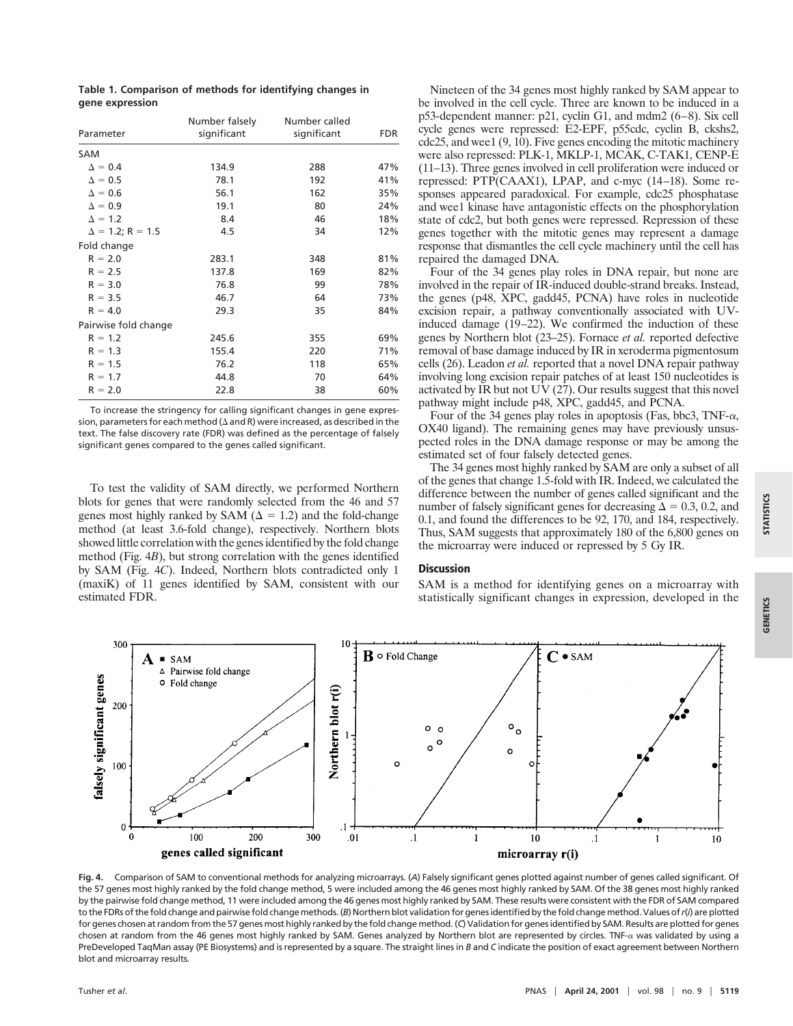|                         | Number falsely | Number called | FDR |  |
|-------------------------|----------------|---------------|-----|--|
| Parameter               | significant    | significant   |     |  |
| SAM                     |                |               |     |  |
| $\Delta = 0.4$          | 134.9          | 288           | 47% |  |
| $\Delta = 0.5$          | 78.1           | 192           | 41% |  |
| $\Delta = 0.6$          | 56.1           | 162           | 35% |  |
| $\Delta = 0.9$          | 19.1           | 80            | 24% |  |
| $\Delta = 1.2$          | 8.4            | 46            | 18% |  |
| $\Delta = 1.2; R = 1.5$ | 4.5            | 34            | 12% |  |
| Fold change             |                |               |     |  |
| $R = 2.0$               | 283.1          | 348           | 81% |  |
| $R = 2.5$               | 137.8          | 169           | 82% |  |
| $R = 3.0$               | 76.8           | 99            | 78% |  |
| $R = 3.5$               | 46.7           | 64            | 73% |  |
| $R = 4.0$               | 29.3           | 35            | 84% |  |
| Pairwise fold change    |                |               |     |  |
| $R = 1.2$               | 245.6          | 355           | 69% |  |
| $R = 1.3$               | 155.4          | 220           | 71% |  |
| $R = 1.5$               | 76.2           | 118           | 65% |  |
| $R = 1.7$               | 44.8           | 70            | 64% |  |
| $R = 2.0$               | 22.8           | 38            | 60% |  |

**Table 1.Comparison of methods for identifying changes in gene expression**

To increase the stringency for calling significant changes in gene expression, parameters for each method ( $\Delta$  and R) were increased, as described in the text. The false discovery rate (FDR) was defined as the percentage of falsely significant genes compared to the genes called significant.

To test the validity of SAM directly, we performed Northern blots for genes that were randomly selected from the 46 and 57 genes most highly ranked by SAM ( $\Delta = 1.2$ ) and the fold-change method (at least 3.6-fold change), respectively. Northern blots showed little correlation with the genes identified by the fold change method (Fig. 4*B*), but strong correlation with the genes identified by SAM (Fig. 4*C*). Indeed, Northern blots contradicted only 1 (maxiK) of 11 genes identified by SAM, consistent with our estimated FDR.

Nineteen of the 34 genes most highly ranked by SAM appear to be involved in the cell cycle. Three are known to be induced in a p53-dependent manner: p21, cyclin G1, and mdm2 (6–8). Six cell cycle genes were repressed: E2-EPF, p55cdc, cyclin B, ckshs2, cdc25, and wee1 (9, 10). Five genes encoding the mitotic machinery were also repressed: PLK-1, MKLP-1, MCAK, C-TAK1, CENP-E (11–13). Three genes involved in cell proliferation were induced or repressed: PTP(CAAX1), LPAP, and c-myc (14–18). Some responses appeared paradoxical. For example, cdc25 phosphatase and wee1 kinase have antagonistic effects on the phosphorylation state of cdc2, but both genes were repressed. Repression of these genes together with the mitotic genes may represent a damage response that dismantles the cell cycle machinery until the cell has repaired the damaged DNA.

Four of the 34 genes play roles in DNA repair, but none are involved in the repair of IR-induced double-strand breaks. Instead, the genes (p48, XPC, gadd45, PCNA) have roles in nucleotide excision repair, a pathway conventionally associated with UVinduced damage (19–22). We confirmed the induction of these genes by Northern blot (23–25). Fornace *et al.* reported defective removal of base damage induced by IR in xeroderma pigmentosum cells (26). Leadon *et al.* reported that a novel DNA repair pathway involving long excision repair patches of at least 150 nucleotides is activated by IR but not UV (27). Our results suggest that this novel pathway might include p48, XPC, gadd45, and PCNA.

Four of the 34 genes play roles in apoptosis (Fas, bbc3, TNF- $\alpha$ , OX40 ligand). The remaining genes may have previously unsuspected roles in the DNA damage response or may be among the estimated set of four falsely detected genes.

The 34 genes most highly ranked by SAM are only a subset of all of the genes that change 1.5-fold with IR. Indeed, we calculated the difference between the number of genes called significant and the number of falsely significant genes for decreasing  $\Delta = 0.3, 0.2,$  and 0.1, and found the differences to be 92, 170, and 184, respectively. Thus, SAM suggests that approximately 180 of the 6,800 genes on the microarray were induced or repressed by 5 Gy IR.

### **Discussion**

SAM is a method for identifying genes on a microarray with statistically significant changes in expression, developed in the



**Fig.4.** Comparison of SAM to conventional methods for analyzing microarrays. (*A*) Falsely significant genes plotted against number of genes called significant. Of the 57 genes most highly ranked by the fold change method, 5 were included among the 46 genes most highly ranked by SAM. Of the 38 genes most highly ranked by the pairwise fold change method, 11 were included among the 46 genes most highly ranked by SAM. These results were consistent with the FDR of SAM compared to the FDRs of the fold change and pairwise fold change methods. (B) Northern blot validation for genes identified by the fold change method. Values of r(i) are plotted for genes chosen at random from the 57 genes most highly ranked by the fold change method. (*C*) Validation for genes identified by SAM. Results are plotted for genes chosen at random from the 46 genes most highly ranked by SAM. Genes analyzed by Northern blot are represented by circles. TNF- $\alpha$  was validated by using a PreDeveloped TaqMan assay (PE Biosystems) and is represented by a square. The straight lines in *B* and *C* indicate the position of exact agreement between Northern blot and microarray results.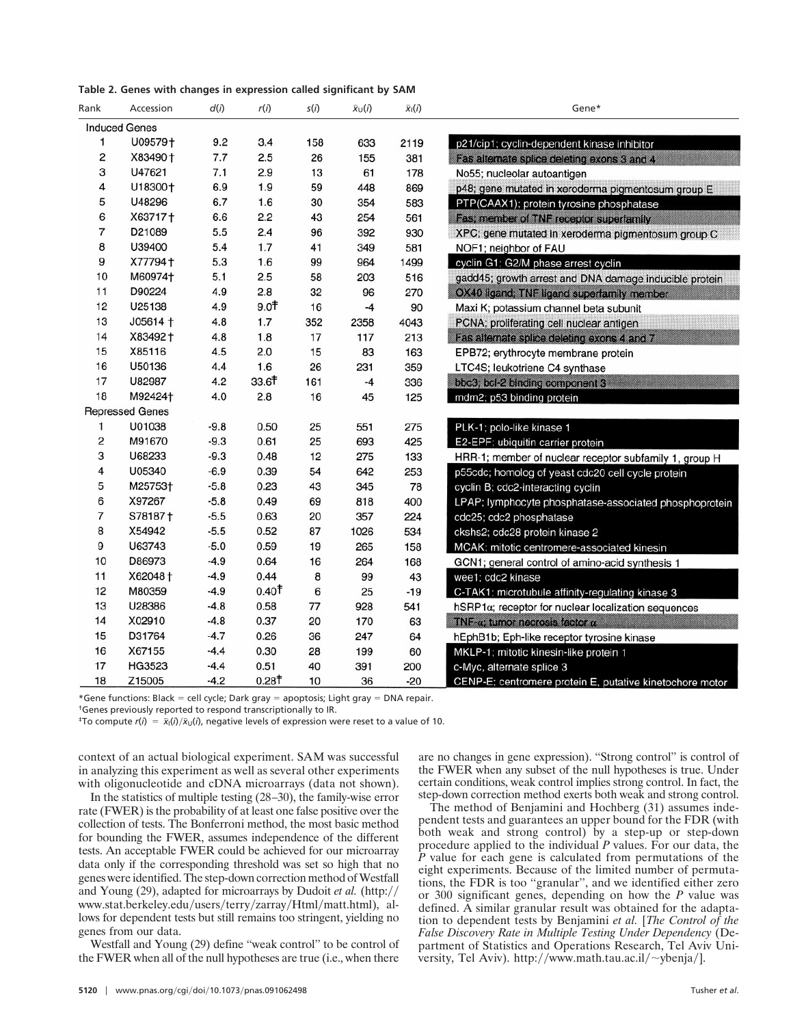| Table 2. Genes with changes in expression called significant by SAM |  |  |  |  |  |  |  |
|---------------------------------------------------------------------|--|--|--|--|--|--|--|
|---------------------------------------------------------------------|--|--|--|--|--|--|--|

| Rank | Accession              | d(i)   | r(i)              | s(i) | $\bar{x}$ <sub>U</sub> ( <i>i</i> ) | $\bar{x}_i(i)$ | Gene*                                                    |
|------|------------------------|--------|-------------------|------|-------------------------------------|----------------|----------------------------------------------------------|
|      | <b>Induced Genes</b>   |        |                   |      |                                     |                |                                                          |
| 1    | U09579+                | 9.2    | 3.4               | 158  | 633                                 | 2119           | p21/cip1; cyclin-dependent kinase inhibitor              |
| 2    | X83490 +               | 7.7    | 2.5               | 26   | 155                                 | 381            | Fas alternate splice deleting exons 3 and 4              |
| 3    | U47621                 | 7.1    | 2.9               | 13   | 61                                  | 178            | No55; nucleolar autoantigen                              |
| 4    | U18300+                | 6.9    | 1.9               | 59   | 448                                 | 869            | p48; gene mutated in xeroderma pigmentosum group E       |
| 5    | U48296                 | 6.7    | 1.6               | 30   | 354                                 | 583            | PTP(CAAX1); protein tyrosine phosphatase                 |
| 6    | X63717+                | 6.6    | 2.2               | 43   | 254                                 | 561            | Fas; member of TNF receptor superfamily                  |
| 7    | D21089                 | 5.5    | 2.4               | 96   | 392                                 | 930            | XPC; gene mutated in xeroderma pigmentosum group C       |
| 8    | U39400                 | 5.4    | 1.7               | 41   | 349                                 | 581            | NOF1; neighbor of FAU                                    |
| 9    | X77794+                | 5.3    | 1.6               | 99   | 964                                 | 1499           | cyclin G1; G2/M phase arrest cyclin                      |
| 10   | M60974 <sup>+</sup>    | 5.1    | 2.5               | 58   | 203                                 | 516            | gadd45; growth arrest and DNA damage inducible protein   |
| 11   | D90224                 | 4.9    | 2.8               | 32   | 96                                  | 270            | OX40 ligand; TNF ligand superfamily member               |
| 12   | U25138                 | 4.9    | 9.0 <sup>†</sup>  | 16   | $-4$                                | 90             | Maxi K; potassium channel beta subunit                   |
| 13   | $J05614 +$             | 4.8    | 1.7               | 352  | 2358                                | 4043           | PCNA; proliferating cell nuclear antigen                 |
| 14   | X83492+                | 4.8    | 1.8               | 17   | 117                                 | 213            | Fas alternate splice deleting exons 4 and 7              |
| 15   | X85116                 | 4.5    | 2.0               | 15   | 83                                  | 163            | EPB72; erythrocyte membrane protein                      |
| 16   | U50136                 | 4.4    | 1.6               | 26   | 231                                 | 359            | LTC4S; leukotriene C4 synthase                           |
| 17   | U82987                 | 4.2    | 33.6              | 161  | $-4$                                | 336            | bbc3; bcl-2 binding component 3                          |
| 18   | M92424+                | 4.0    | 2.8               | 16   | 45                                  | 125            | mdm2; p53 binding protein                                |
|      | <b>Repressed Genes</b> |        |                   |      |                                     |                |                                                          |
| 1    | U01038                 | $-9.8$ | 0.50              | 25   | 551                                 | 275            | PLK-1; polo-like kinase 1                                |
| 2    | M91670                 | $-9.3$ | 0.61              | 25   | 693                                 | 425            | E2-EPF; ubiquitin carrier protein                        |
| 3    | U68233                 | $-9.3$ | 0.48              | 12   | 275                                 | 133            | HRR-1; member of nuclear receptor subfamily 1, group H   |
| 4    | U05340                 | $-6.9$ | 0.39              | 54   | 642                                 | 253            | p55cdc; homolog of yeast cdc20 cell cycle protein        |
| 5    | M25753+                | $-5.8$ | 0.23              | 43   | 345                                 | 78             | cyclin B; cdc2-interacting cyclin                        |
| 6    | X97267                 | $-5.8$ | 0.49              | 69   | 818                                 | 400            | LPAP; lymphocyte phosphatase-associated phosphoprotein   |
| 7    | S78187+                | $-5.5$ | 0.63              | 20   | 357                                 | 224            | cdc25; cdc2 phosphatase                                  |
| 8    | X54942                 | $-5.5$ | 0.52              | 87   | 1026                                | 534            | ckshs2; cdc28 protein kinase 2                           |
| 9    | U63743                 | $-5.0$ | 0.59              | 19   | 265                                 | 158            | MCAK; mitotic centromere-associated kinesin              |
| 10   | D86973                 | $-4.9$ | 0.64              | 16   | 264                                 | 168            | GCN1; general control of amino-acid synthesis 1          |
| 11   | X62048+                | $-4.9$ | 0.44              | 8    | 99                                  | 43             | wee1; cdc2 kinase                                        |
| 12   | M80359                 | $-4.9$ | 0.40 <sup>†</sup> | 6    | 25                                  | $-19$          | C-TAK1; microtubule affinity-regulating kinase 3         |
| 13   | U28386                 | $-4.8$ | 0.58              | 77   | 928                                 | 541            | hSRP1a; receptor for nuclear localization sequences      |
| 14   | X02910                 | $-4.8$ | 0.37              | 20   | 170                                 | 63             | TNF-a; tumor necrosis factor a                           |
| 15   | D31764                 | $-4.7$ | 0.26              | 36   | 247                                 | 64             | hEphB1b; Eph-like receptor tyrosine kinase               |
| 16   | X67155                 | $-4.4$ | 0.30              | 28   | 199                                 | 60             | MKLP-1; mitotic kinesin-like protein 1                   |
| 17   | HG3523                 | $-4.4$ | 0.51              | 40   | 391                                 | 200            | c-Myc, alternate splice 3                                |
| 18   | Z15005                 | $-4.2$ | 0.28 <sup>†</sup> | 10   | 36                                  | $-20$          | CENP-E; centromere protein E, putative kinetochore motor |

\*Gene functions: Black = cell cycle; Dark gray = apoptosis; Light gray = DNA repair.

†Genes previously reported to respond transcriptionally to IR.

<sup>‡</sup>To compute  $r(i) = \bar{x}_i(i)/\bar{x}_U(i)$ , negative levels of expression were reset to a value of 10.

context of an actual biological experiment. SAM was successful in analyzing this experiment as well as several other experiments with oligonucleotide and cDNA microarrays (data not shown).

In the statistics of multiple testing (28–30), the family-wise error rate (FWER) is the probability of at least one false positive over the collection of tests. The Bonferroni method, the most basic method for bounding the FWER, assumes independence of the different tests. An acceptable FWER could be achieved for our microarray data only if the corresponding threshold was set so high that no genes were identified. The step-down correction method of Westfall and Young (29), adapted for microarrays by Dudoit *et al.* (http: www.stat.berkeley.edu/users/terry/zarray/Html/matt.html), allows for dependent tests but still remains too stringent, yielding no genes from our data.

Westfall and Young (29) define "weak control" to be control of the FWER when all of the null hypotheses are true (i.e., when there are no changes in gene expression). ''Strong control'' is control of the FWER when any subset of the null hypotheses is true. Under certain conditions, weak control implies strong control. In fact, the step-down correction method exerts both weak and strong control.

The method of Benjamini and Hochberg (31) assumes independent tests and guarantees an upper bound for the FDR (with both weak and strong control) by a step-up or step-down procedure applied to the individual *P* values. For our data, the *P* value for each gene is calculated from permutations of the eight experiments. Because of the limited number of permutations, the FDR is too ''granular'', and we identified either zero or 300 significant genes, depending on how the *P* value was defined. A similar granular result was obtained for the adaptation to dependent tests by Benjamini *et al.* [*The Control of the False Discovery Rate in Multiple Testing Under Dependency* (Department of Statistics and Operations Research, Tel Aviv University, Tel Aviv). http://www.math.tau.ac.il/ $\sim$ ybenja/].